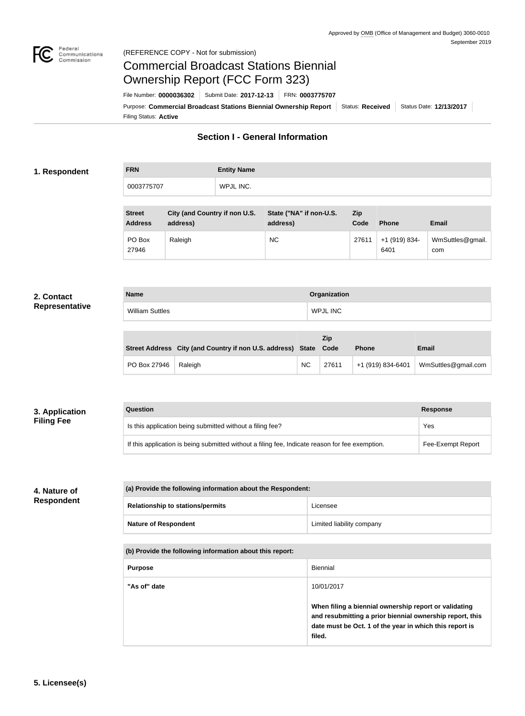

# Commercial Broadcast Stations Biennial Ownership Report (FCC Form 323)

Filing Status: **Active** Purpose: Commercial Broadcast Stations Biennial Ownership Report Status: Received Status Date: 12/13/2017 File Number: **0000036302** Submit Date: **2017-12-13** FRN: **0003775707**

## **Section I - General Information**

#### **1. Respondent**

| <b>FRN</b> | <b>Entity Name</b> |
|------------|--------------------|
| 0003775707 | WPJL INC.          |

| <b>Street</b><br><b>Address</b> | City (and Country if non U.S.<br>address) | State ("NA" if non-U.S.<br>address) | <b>Zip</b><br>Code | <b>Phone</b>          | <b>Email</b>            |
|---------------------------------|-------------------------------------------|-------------------------------------|--------------------|-----------------------|-------------------------|
| PO Box<br>27946                 | Raleigh                                   | <b>NC</b>                           | 27611              | +1 (919) 834-<br>6401 | WmSuttles@gmail.<br>com |

#### **2. Contact Representative**

| <b>Name</b>            | Organization    |
|------------------------|-----------------|
| <b>William Suttles</b> | <b>WPJL INC</b> |

|              | Street Address City (and Country if non U.S. address) State |           | <b>Zip</b><br>Code | <b>Phone</b>      | <b>Email</b>        |
|--------------|-------------------------------------------------------------|-----------|--------------------|-------------------|---------------------|
| PO Box 27946 | Raleigh                                                     | <b>NC</b> | 27611              | +1 (919) 834-6401 | WmSuttles@gmail.com |

| 3. Application    | Question                                                                                        | <b>Response</b>   |
|-------------------|-------------------------------------------------------------------------------------------------|-------------------|
| <b>Filing Fee</b> | Is this application being submitted without a filing fee?                                       | Yes               |
|                   | If this application is being submitted without a filing fee, Indicate reason for fee exemption. | Fee-Exempt Report |

### **4. Nature of Respondent**

**(a) Provide the following information about the Respondent:**

| <b>Relationship to stations/permits</b> | Licensee                  |
|-----------------------------------------|---------------------------|
| <b>Nature of Respondent</b>             | Limited liability company |

| (b) Provide the following information about this report: |                                                                                                                                                                                        |  |
|----------------------------------------------------------|----------------------------------------------------------------------------------------------------------------------------------------------------------------------------------------|--|
| <b>Purpose</b>                                           | Biennial                                                                                                                                                                               |  |
| "As of" date                                             | 10/01/2017                                                                                                                                                                             |  |
|                                                          | When filing a biennial ownership report or validating<br>and resubmitting a prior biennial ownership report, this<br>date must be Oct. 1 of the year in which this report is<br>filed. |  |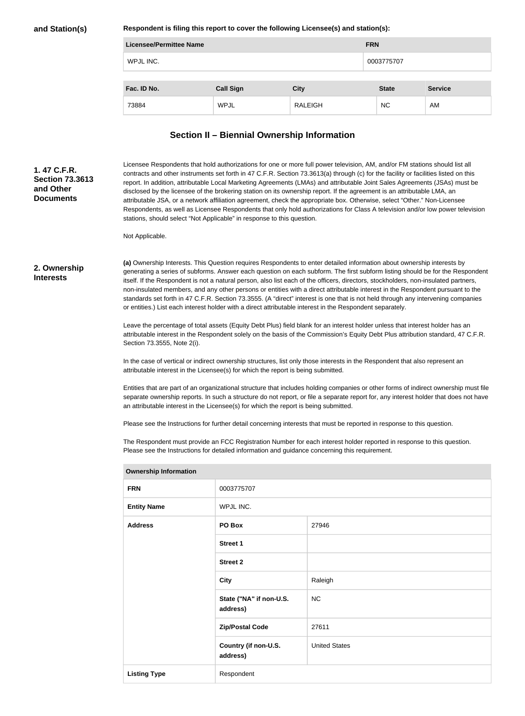**and Station(s)**

**Respondent is filing this report to cover the following Licensee(s) and station(s):**

| <b>Licensee/Permittee Name</b> |                  |                | <b>FRN</b>   |                |
|--------------------------------|------------------|----------------|--------------|----------------|
| WPJL INC.                      |                  | 0003775707     |              |                |
|                                |                  |                |              |                |
| Fac. ID No.                    | <b>Call Sign</b> | <b>City</b>    | <b>State</b> | <b>Service</b> |
| 73884                          | <b>WPJL</b>      | <b>RALEIGH</b> | <b>NC</b>    | AM             |

# **Section II – Biennial Ownership Information**

| 1.47 C.F.R.<br><b>Section 73.3613</b><br>and Other<br><b>Documents</b>                                                                                                                                                                                                                                                                                               |                              | stations, should select "Not Applicable" in response to this question.                         | Licensee Respondents that hold authorizations for one or more full power television, AM, and/or FM stations should list all<br>contracts and other instruments set forth in 47 C.F.R. Section 73.3613(a) through (c) for the facility or facilities listed on this<br>report. In addition, attributable Local Marketing Agreements (LMAs) and attributable Joint Sales Agreements (JSAs) must be<br>disclosed by the licensee of the brokering station on its ownership report. If the agreement is an attributable LMA, an<br>attributable JSA, or a network affiliation agreement, check the appropriate box. Otherwise, select "Other." Non-Licensee<br>Respondents, as well as Licensee Respondents that only hold authorizations for Class A television and/or low power television                                                                                                                           |
|----------------------------------------------------------------------------------------------------------------------------------------------------------------------------------------------------------------------------------------------------------------------------------------------------------------------------------------------------------------------|------------------------------|------------------------------------------------------------------------------------------------|--------------------------------------------------------------------------------------------------------------------------------------------------------------------------------------------------------------------------------------------------------------------------------------------------------------------------------------------------------------------------------------------------------------------------------------------------------------------------------------------------------------------------------------------------------------------------------------------------------------------------------------------------------------------------------------------------------------------------------------------------------------------------------------------------------------------------------------------------------------------------------------------------------------------|
|                                                                                                                                                                                                                                                                                                                                                                      | Not Applicable.              |                                                                                                |                                                                                                                                                                                                                                                                                                                                                                                                                                                                                                                                                                                                                                                                                                                                                                                                                                                                                                                    |
| 2. Ownership<br><b>Interests</b>                                                                                                                                                                                                                                                                                                                                     |                              |                                                                                                | (a) Ownership Interests. This Question requires Respondents to enter detailed information about ownership interests by<br>generating a series of subforms. Answer each question on each subform. The first subform listing should be for the Respondent<br>itself. If the Respondent is not a natural person, also list each of the officers, directors, stockholders, non-insulated partners,<br>non-insulated members, and any other persons or entities with a direct attributable interest in the Respondent pursuant to the<br>standards set forth in 47 C.F.R. Section 73.3555. (A "direct" interest is one that is not held through any intervening companies<br>or entities.) List each interest holder with a direct attributable interest in the Respondent separately.<br>Leave the percentage of total assets (Equity Debt Plus) field blank for an interest holder unless that interest holder has an |
|                                                                                                                                                                                                                                                                                                                                                                      | Section 73.3555, Note 2(i).  |                                                                                                | attributable interest in the Respondent solely on the basis of the Commission's Equity Debt Plus attribution standard, 47 C.F.R.                                                                                                                                                                                                                                                                                                                                                                                                                                                                                                                                                                                                                                                                                                                                                                                   |
|                                                                                                                                                                                                                                                                                                                                                                      |                              | attributable interest in the Licensee(s) for which the report is being submitted.              | In the case of vertical or indirect ownership structures, list only those interests in the Respondent that also represent an                                                                                                                                                                                                                                                                                                                                                                                                                                                                                                                                                                                                                                                                                                                                                                                       |
| Entities that are part of an organizational structure that includes holding companies or other forms of indirect ownership must file<br>separate ownership reports. In such a structure do not report, or file a separate report for, any interest holder that does not have<br>an attributable interest in the Licensee(s) for which the report is being submitted. |                              |                                                                                                |                                                                                                                                                                                                                                                                                                                                                                                                                                                                                                                                                                                                                                                                                                                                                                                                                                                                                                                    |
|                                                                                                                                                                                                                                                                                                                                                                      |                              |                                                                                                | Please see the Instructions for further detail concerning interests that must be reported in response to this question.                                                                                                                                                                                                                                                                                                                                                                                                                                                                                                                                                                                                                                                                                                                                                                                            |
|                                                                                                                                                                                                                                                                                                                                                                      |                              | Please see the Instructions for detailed information and guidance concerning this requirement. | The Respondent must provide an FCC Registration Number for each interest holder reported in response to this question.                                                                                                                                                                                                                                                                                                                                                                                                                                                                                                                                                                                                                                                                                                                                                                                             |
|                                                                                                                                                                                                                                                                                                                                                                      | <b>Ownership Information</b> |                                                                                                |                                                                                                                                                                                                                                                                                                                                                                                                                                                                                                                                                                                                                                                                                                                                                                                                                                                                                                                    |
|                                                                                                                                                                                                                                                                                                                                                                      | <b>FRN</b>                   | 0003775707                                                                                     |                                                                                                                                                                                                                                                                                                                                                                                                                                                                                                                                                                                                                                                                                                                                                                                                                                                                                                                    |
|                                                                                                                                                                                                                                                                                                                                                                      | <b>Entity Name</b>           | WPJL INC.                                                                                      |                                                                                                                                                                                                                                                                                                                                                                                                                                                                                                                                                                                                                                                                                                                                                                                                                                                                                                                    |
|                                                                                                                                                                                                                                                                                                                                                                      | <b>Address</b>               | PO Box                                                                                         | 27946                                                                                                                                                                                                                                                                                                                                                                                                                                                                                                                                                                                                                                                                                                                                                                                                                                                                                                              |
|                                                                                                                                                                                                                                                                                                                                                                      |                              | <b>Street 1</b>                                                                                |                                                                                                                                                                                                                                                                                                                                                                                                                                                                                                                                                                                                                                                                                                                                                                                                                                                                                                                    |
|                                                                                                                                                                                                                                                                                                                                                                      |                              | <b>Street 2</b>                                                                                |                                                                                                                                                                                                                                                                                                                                                                                                                                                                                                                                                                                                                                                                                                                                                                                                                                                                                                                    |
|                                                                                                                                                                                                                                                                                                                                                                      |                              | <b>City</b>                                                                                    | Raleigh                                                                                                                                                                                                                                                                                                                                                                                                                                                                                                                                                                                                                                                                                                                                                                                                                                                                                                            |
|                                                                                                                                                                                                                                                                                                                                                                      |                              | State ("NA" if non-U.S.<br>address)                                                            | <b>NC</b>                                                                                                                                                                                                                                                                                                                                                                                                                                                                                                                                                                                                                                                                                                                                                                                                                                                                                                          |
|                                                                                                                                                                                                                                                                                                                                                                      |                              | <b>Zip/Postal Code</b>                                                                         | 27611                                                                                                                                                                                                                                                                                                                                                                                                                                                                                                                                                                                                                                                                                                                                                                                                                                                                                                              |
|                                                                                                                                                                                                                                                                                                                                                                      |                              | Country (if non-U.S.<br>address)                                                               | <b>United States</b>                                                                                                                                                                                                                                                                                                                                                                                                                                                                                                                                                                                                                                                                                                                                                                                                                                                                                               |

Listing Type Respondent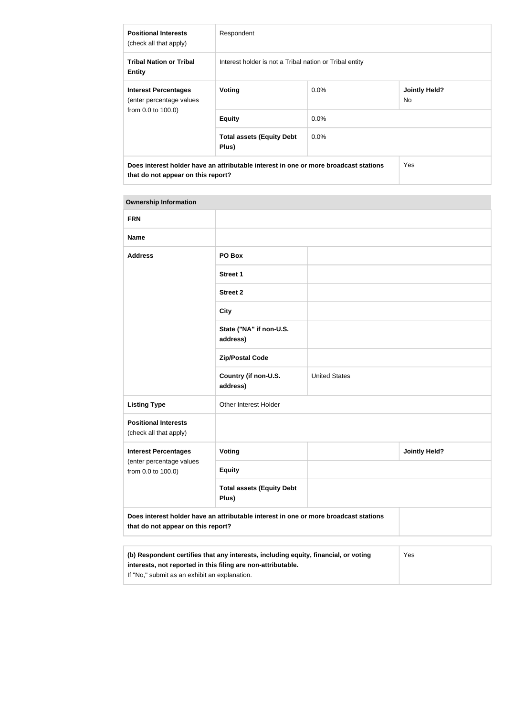| <b>Positional Interests</b><br>(check all that apply)   | Respondent                                                                           |                                                         |                             |  |  |
|---------------------------------------------------------|--------------------------------------------------------------------------------------|---------------------------------------------------------|-----------------------------|--|--|
| <b>Tribal Nation or Tribal</b><br><b>Entity</b>         |                                                                                      | Interest holder is not a Tribal nation or Tribal entity |                             |  |  |
| <b>Interest Percentages</b><br>(enter percentage values | Voting                                                                               | $0.0\%$                                                 | <b>Jointly Held?</b><br>No. |  |  |
| from 0.0 to 100.0)                                      | <b>Equity</b>                                                                        | $0.0\%$                                                 |                             |  |  |
|                                                         | <b>Total assets (Equity Debt</b><br>Plus)                                            | $0.0\%$                                                 |                             |  |  |
| that do not appear on this report?                      | Does interest holder have an attributable interest in one or more broadcast stations |                                                         | <b>Yes</b>                  |  |  |

| <b>FRN</b>                                            |                                           |                      |                      |
|-------------------------------------------------------|-------------------------------------------|----------------------|----------------------|
| <b>Name</b>                                           |                                           |                      |                      |
| <b>Address</b>                                        | PO Box                                    |                      |                      |
|                                                       | <b>Street 1</b>                           |                      |                      |
|                                                       | <b>Street 2</b>                           |                      |                      |
|                                                       | <b>City</b>                               |                      |                      |
|                                                       | State ("NA" if non-U.S.<br>address)       |                      |                      |
|                                                       | <b>Zip/Postal Code</b>                    |                      |                      |
|                                                       | Country (if non-U.S.<br>address)          | <b>United States</b> |                      |
| <b>Listing Type</b>                                   | Other Interest Holder                     |                      |                      |
| <b>Positional Interests</b><br>(check all that apply) |                                           |                      |                      |
| <b>Interest Percentages</b>                           | Voting                                    |                      | <b>Jointly Held?</b> |
| (enter percentage values<br>from 0.0 to 100.0)        | <b>Equity</b>                             |                      |                      |
|                                                       | <b>Total assets (Equity Debt</b><br>Plus) |                      |                      |

| (b) Respondent certifies that any interests, including equity, financial, or voting | Yes |
|-------------------------------------------------------------------------------------|-----|
| interests, not reported in this filing are non-attributable.                        |     |
| If "No," submit as an exhibit an explanation.                                       |     |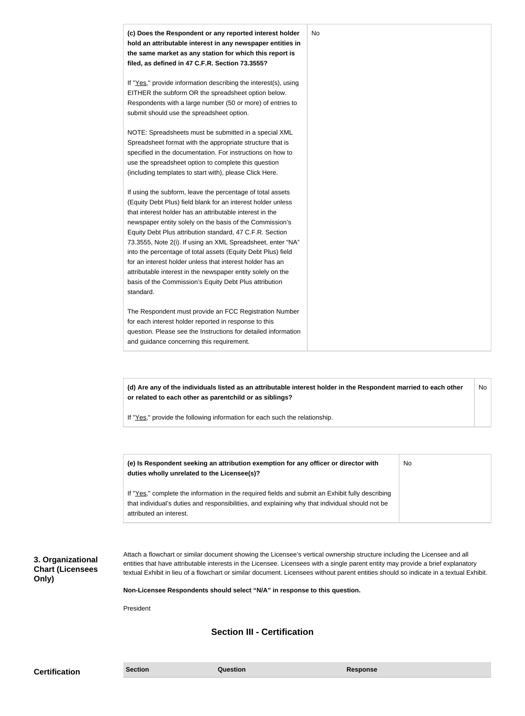| (c) Does the Respondent or any reported interest holder<br>hold an attributable interest in any newspaper entities in<br>the same market as any station for which this report is<br>filed, as defined in 47 C.F.R. Section 73.3555?                                                                                                                                                                                                                                                                                                                                                                                                              | No |
|--------------------------------------------------------------------------------------------------------------------------------------------------------------------------------------------------------------------------------------------------------------------------------------------------------------------------------------------------------------------------------------------------------------------------------------------------------------------------------------------------------------------------------------------------------------------------------------------------------------------------------------------------|----|
| If "Yes," provide information describing the interest(s), using<br>EITHER the subform OR the spreadsheet option below.<br>Respondents with a large number (50 or more) of entries to<br>submit should use the spreadsheet option.                                                                                                                                                                                                                                                                                                                                                                                                                |    |
| NOTE: Spreadsheets must be submitted in a special XML<br>Spreadsheet format with the appropriate structure that is<br>specified in the documentation. For instructions on how to<br>use the spreadsheet option to complete this question<br>(including templates to start with), please Click Here.                                                                                                                                                                                                                                                                                                                                              |    |
| If using the subform, leave the percentage of total assets<br>(Equity Debt Plus) field blank for an interest holder unless<br>that interest holder has an attributable interest in the<br>newspaper entity solely on the basis of the Commission's<br>Equity Debt Plus attribution standard, 47 C.F.R. Section<br>73.3555, Note 2(i). If using an XML Spreadsheet, enter "NA"<br>into the percentage of total assets (Equity Debt Plus) field<br>for an interest holder unless that interest holder has an<br>attributable interest in the newspaper entity solely on the<br>basis of the Commission's Equity Debt Plus attribution<br>standard. |    |
| The Respondent must provide an FCC Registration Number<br>for each interest holder reported in response to this<br>question. Please see the Instructions for detailed information<br>and guidance concerning this requirement.                                                                                                                                                                                                                                                                                                                                                                                                                   |    |

**(d) Are any of the individuals listed as an attributable interest holder in the Respondent married to each other or related to each other as parentchild or as siblings?** No

If "Yes," provide the following information for each such the relationship.

| (e) Is Respondent seeking an attribution exemption for any officer or director with<br>duties wholly unrelated to the Licensee(s)?                                                                                             | No. |
|--------------------------------------------------------------------------------------------------------------------------------------------------------------------------------------------------------------------------------|-----|
| If "Yes," complete the information in the required fields and submit an Exhibit fully describing<br>that individual's duties and responsibilities, and explaining why that individual should not be<br>attributed an interest. |     |

**3. Organizational Chart (Licensees Only)**

Attach a flowchart or similar document showing the Licensee's vertical ownership structure including the Licensee and all entities that have attributable interests in the Licensee. Licensees with a single parent entity may provide a brief explanatory textual Exhibit in lieu of a flowchart or similar document. Licensees without parent entities should so indicate in a textual Exhibit.

**Non-Licensee Respondents should select "N/A" in response to this question.**

President

## **Section III - Certification**